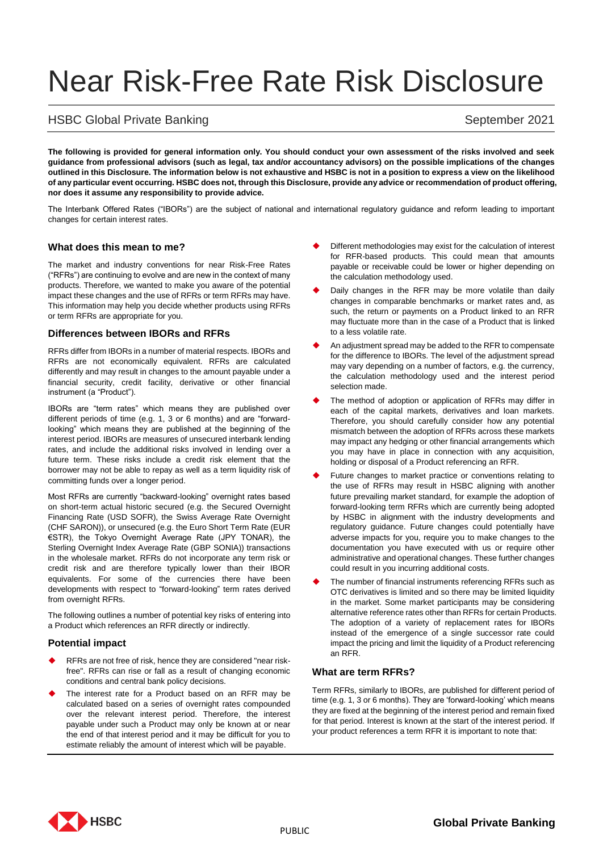# Near Risk-Free Rate Risk Disclosure

# HSBC Global Private Banking September 2021

**The following is provided for general information only. You should conduct your own assessment of the risks involved and seek guidance from professional advisors (such as legal, tax and/or accountancy advisors) on the possible implications of the changes outlined in this Disclosure. The information below is not exhaustive and HSBC is not in a position to express a view on the likelihood of any particular event occurring. HSBC does not, through this Disclosure, provide any advice or recommendation of product offering, nor does it assume any responsibility to provide advice.**

The Interbank Offered Rates ("IBORs") are the subject of national and international regulatory guidance and reform leading to important changes for certain interest rates.

### **What does this mean to me?**

The market and industry conventions for near Risk-Free Rates ("RFRs") are continuing to evolve and are new in the context of many products. Therefore, we wanted to make you aware of the potential impact these changes and the use of RFRs or term RFRs may have. This information may help you decide whether products using RFRs or term RFRs are appropriate for you.

#### **Differences between IBORs and RFRs**

RFRs differ from IBORs in a number of material respects. IBORs and RFRs are not economically equivalent. RFRs are calculated differently and may result in changes to the amount payable under a financial security, credit facility, derivative or other financial instrument (a "Product").

IBORs are "term rates" which means they are published over different periods of time (e.g. 1, 3 or 6 months) and are "forwardlooking" which means they are published at the beginning of the interest period. IBORs are measures of unsecured interbank lending rates, and include the additional risks involved in lending over a future term. These risks include a credit risk element that the borrower may not be able to repay as well as a term liquidity risk of committing funds over a longer period.

Most RFRs are currently "backward-looking" overnight rates based on short-term actual historic secured (e.g. the Secured Overnight Financing Rate (USD SOFR), the Swiss Average Rate Overnight (CHF SARON)), or unsecured (e.g. the Euro Short Term Rate (EUR €STR), the Tokyo Overnight Average Rate (JPY TONAR), the Sterling Overnight Index Average Rate (GBP SONIA)) transactions in the wholesale market. RFRs do not incorporate any term risk or credit risk and are therefore typically lower than their IBOR equivalents. For some of the currencies there have been developments with respect to "forward-looking" term rates derived from overnight RFRs.

The following outlines a number of potential key risks of entering into a Product which references an RFR directly or indirectly.

## **Potential impact**

- RFRs are not free of risk, hence they are considered "near riskfree". RFRs can rise or fall as a result of changing economic conditions and central bank policy decisions.
- The interest rate for a Product based on an RFR may be calculated based on a series of overnight rates compounded over the relevant interest period. Therefore, the interest payable under such a Product may only be known at or near the end of that interest period and it may be difficult for you to estimate reliably the amount of interest which will be payable.
- Different methodologies may exist for the calculation of interest for RFR-based products. This could mean that amounts payable or receivable could be lower or higher depending on the calculation methodology used.
- Daily changes in the RFR may be more volatile than daily changes in comparable benchmarks or market rates and, as such, the return or payments on a Product linked to an RFR may fluctuate more than in the case of a Product that is linked to a less volatile rate.
- An adjustment spread may be added to the RFR to compensate for the difference to IBORs. The level of the adjustment spread may vary depending on a number of factors, e.g. the currency, the calculation methodology used and the interest period selection made.
- The method of adoption or application of RFRs may differ in each of the capital markets, derivatives and loan markets. Therefore, you should carefully consider how any potential mismatch between the adoption of RFRs across these markets may impact any hedging or other financial arrangements which you may have in place in connection with any acquisition, holding or disposal of a Product referencing an RFR.
- Future changes to market practice or conventions relating to the use of RFRs may result in HSBC aligning with another future prevailing market standard, for example the adoption of forward-looking term RFRs which are currently being adopted by HSBC in alignment with the industry developments and regulatory guidance. Future changes could potentially have adverse impacts for you, require you to make changes to the documentation you have executed with us or require other administrative and operational changes. These further changes could result in you incurring additional costs.
- The number of financial instruments referencing RFRs such as OTC derivatives is limited and so there may be limited liquidity in the market. Some market participants may be considering alternative reference rates other than RFRs for certain Products. The adoption of a variety of replacement rates for IBORs instead of the emergence of a single successor rate could impact the pricing and limit the liquidity of a Product referencing an RFR.

### **What are term RFRs?**

Term RFRs, similarly to IBORs, are published for different period of time (e.g. 1, 3 or 6 months). They are 'forward-looking' which means they are fixed at the beginning of the interest period and remain fixed for that period. Interest is known at the start of the interest period. If your product references a term RFR it is important to note that: